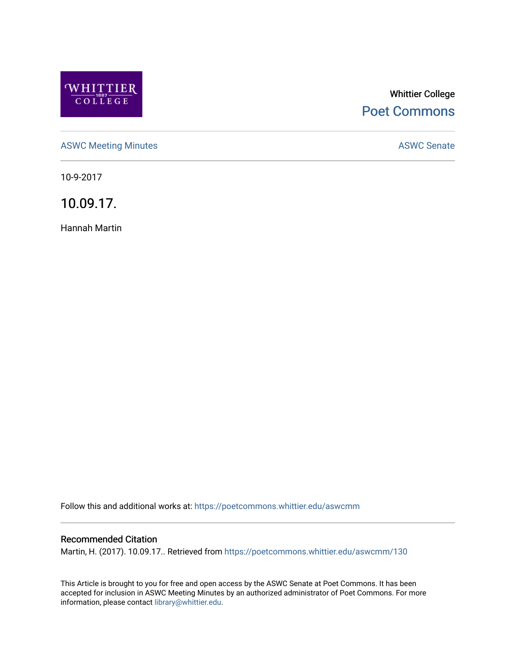

# Whittier College [Poet Commons](https://poetcommons.whittier.edu/)

[ASWC Meeting Minutes](https://poetcommons.whittier.edu/aswcmm) **ASWC Senate** 

10-9-2017

10.09.17.

Hannah Martin

Follow this and additional works at: [https://poetcommons.whittier.edu/aswcmm](https://poetcommons.whittier.edu/aswcmm?utm_source=poetcommons.whittier.edu%2Faswcmm%2F130&utm_medium=PDF&utm_campaign=PDFCoverPages)

#### Recommended Citation

Martin, H. (2017). 10.09.17.. Retrieved from [https://poetcommons.whittier.edu/aswcmm/130](https://poetcommons.whittier.edu/aswcmm/130?utm_source=poetcommons.whittier.edu%2Faswcmm%2F130&utm_medium=PDF&utm_campaign=PDFCoverPages) 

This Article is brought to you for free and open access by the ASWC Senate at Poet Commons. It has been accepted for inclusion in ASWC Meeting Minutes by an authorized administrator of Poet Commons. For more information, please contact [library@whittier.edu.](mailto:library@whittier.edu)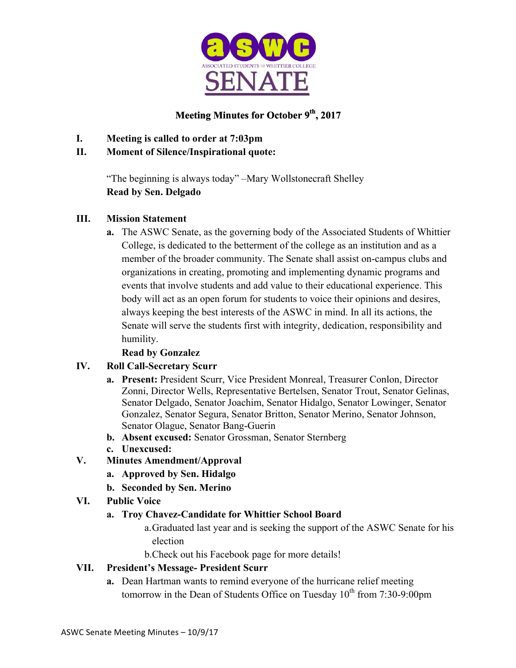

# **Meeting Minutes for October 9th, 2017**

- **I. Meeting is called to order at 7:03pm**
- **II. Moment of Silence/Inspirational quote:**

"The beginning is always today" –Mary Wollstonecraft Shelley **Read by Sen. Delgado**

# **III. Mission Statement**

**a.** The ASWC Senate, as the governing body of the Associated Students of Whittier College, is dedicated to the betterment of the college as an institution and as a member of the broader community. The Senate shall assist on-campus clubs and organizations in creating, promoting and implementing dynamic programs and events that involve students and add value to their educational experience. This body will act as an open forum for students to voice their opinions and desires, always keeping the best interests of the ASWC in mind. In all its actions, the Senate will serve the students first with integrity, dedication, responsibility and humility.

# **Read by Gonzalez**

# **IV. Roll Call-Secretary Scurr**

- **a. Present:** President Scurr, Vice President Monreal, Treasurer Conlon, Director Zonni, Director Wells, Representative Bertelsen, Senator Trout, Senator Gelinas, Senator Delgado, Senator Joachim, Senator Hidalgo, Senator Lowinger, Senator Gonzalez, Senator Segura, Senator Britton, Senator Merino, Senator Johnson, Senator Olague, Senator Bang-Guerin
- **b. Absent excused:** Senator Grossman, Senator Sternberg
- **c. Unexcused:**
- **V. Minutes Amendment/Approval**
	- **a. Approved by Sen. Hidalgo**
	- **b. Seconded by Sen. Merino**
- **VI. Public Voice**

### **a. Troy Chavez-Candidate for Whittier School Board**

- a.Graduated last year and is seeking the support of the ASWC Senate for his election
- b.Check out his Facebook page for more details!

# **VII. President's Message- President Scurr**

**a.** Dean Hartman wants to remind everyone of the hurricane relief meeting tomorrow in the Dean of Students Office on Tuesday  $10^{th}$  from 7:30-9:00pm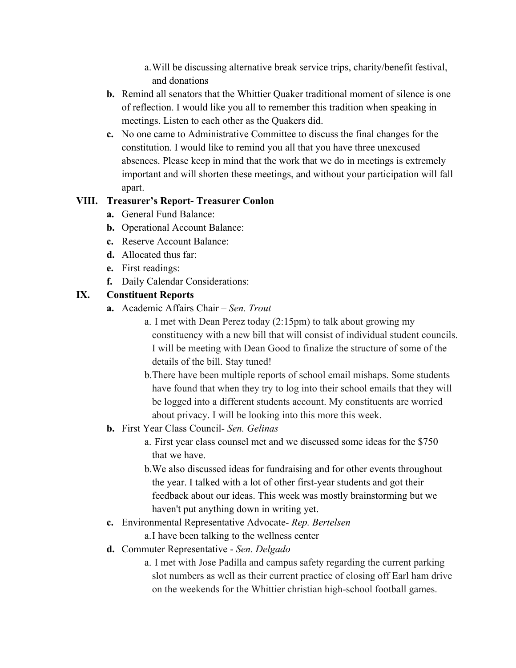a.Will be discussing alternative break service trips, charity/benefit festival, and donations

- **b.** Remind all senators that the Whittier Quaker traditional moment of silence is one of reflection. I would like you all to remember this tradition when speaking in meetings. Listen to each other as the Quakers did.
- **c.** No one came to Administrative Committee to discuss the final changes for the constitution. I would like to remind you all that you have three unexcused absences. Please keep in mind that the work that we do in meetings is extremely important and will shorten these meetings, and without your participation will fall apart.

### **VIII. Treasurer's Report- Treasurer Conlon**

- **a.** General Fund Balance:
- **b.** Operational Account Balance:
- **c.** Reserve Account Balance:
- **d.** Allocated thus far:
- **e.** First readings:
- **f.** Daily Calendar Considerations:

# **IX. Constituent Reports**

- **a.** Academic Affairs Chair *Sen. Trout*
	- a. I met with Dean Perez today (2:15pm) to talk about growing my constituency with a new bill that will consist of individual student councils. I will be meeting with Dean Good to finalize the structure of some of the details of the bill. Stay tuned!
	- b.There have been multiple reports of school email mishaps. Some students have found that when they try to log into their school emails that they will be logged into a different students account. My constituents are worried about privacy. I will be looking into this more this week.
- **b.** First Year Class Council- *Sen. Gelinas*
	- a. First year class counsel met and we discussed some ideas for the \$750 that we have.
	- b.We also discussed ideas for fundraising and for other events throughout the year. I talked with a lot of other first-year students and got their feedback about our ideas. This week was mostly brainstorming but we haven't put anything down in writing yet.
- **c.** Environmental Representative Advocate- *Rep. Bertelsen*

a.I have been talking to the wellness center

- **d.** Commuter Representative *Sen. Delgado*
	- a. I met with Jose Padilla and campus safety regarding the current parking slot numbers as well as their current practice of closing off Earl ham drive on the weekends for the Whittier christian high-school football games.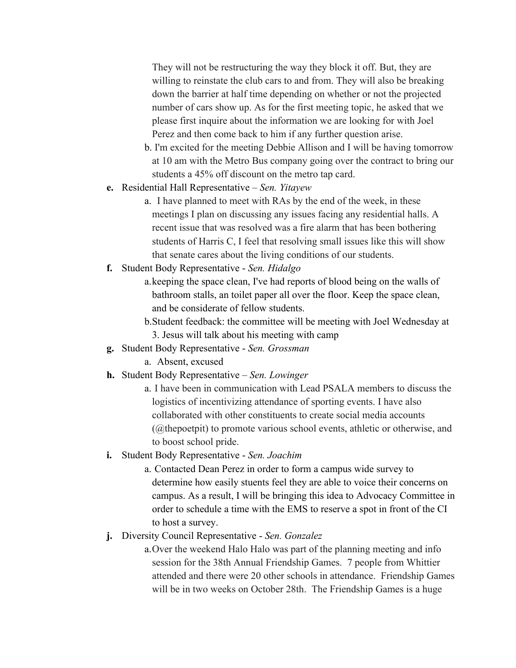They will not be restructuring the way they block it off. But, they are willing to reinstate the club cars to and from. They will also be breaking down the barrier at half time depending on whether or not the projected number of cars show up. As for the first meeting topic, he asked that we please first inquire about the information we are looking for with Joel Perez and then come back to him if any further question arise.

- b. I'm excited for the meeting Debbie Allison and I will be having tomorrow at 10 am with the Metro Bus company going over the contract to bring our students a 45% off discount on the metro tap card.
- **e.** Residential Hall Representative *Sen. Yitayew*
	- a.I have planned to meet with RAs by the end of the week, in these meetings I plan on discussing any issues facing any residential halls. A recent issue that was resolved was a fire alarm that has been bothering students of Harris C, I feel that resolving small issues like this will show that senate cares about the living conditions of our students.
- **f.** Student Body Representative *Sen. Hidalgo*
	- a.keeping the space clean, I've had reports of blood being on the walls of bathroom stalls, an toilet paper all over the floor. Keep the space clean, and be considerate of fellow students.
	- b.Student feedback: the committee will be meeting with Joel Wednesday at 3. Jesus will talk about his meeting with camp
- **g.** Student Body Representative *Sen. Grossman*
	- a. Absent, excused
- **h.** Student Body Representative *Sen. Lowinger*
	- a. I have been in communication with Lead PSALA members to discuss the logistics of incentivizing attendance of sporting events. I have also collaborated with other constituents to create social media accounts (@thepoetpit) to promote various school events, athletic or otherwise, and to boost school pride.
- **i.** Student Body Representative *Sen. Joachim*
	- a. Contacted Dean Perez in order to form a campus wide survey to determine how easily stuents feel they are able to voice their concerns on campus. As a result, I will be bringing this idea to Advocacy Committee in order to schedule a time with the EMS to reserve a spot in front of the CI to host a survey.
- **j.** Diversity Council Representative *Sen. Gonzalez*

a.Over the weekend Halo Halo was part of the planning meeting and info session for the 38th Annual Friendship Games. 7 people from Whittier attended and there were 20 other schools in attendance. Friendship Games will be in two weeks on October 28th. The Friendship Games is a huge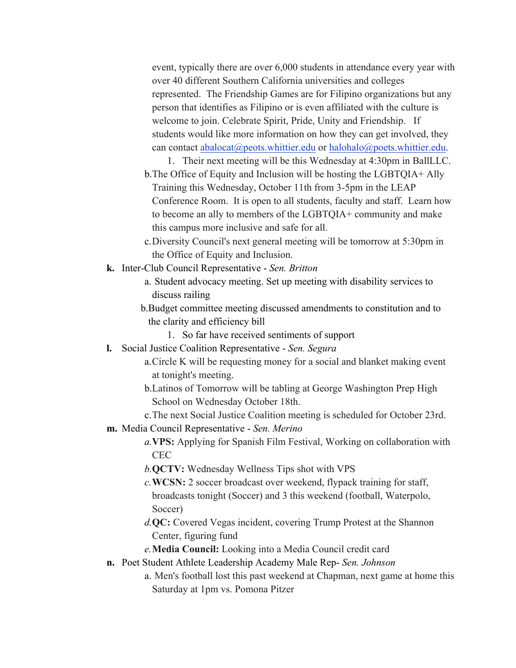event, typically there are over 6,000 students in attendance every year with over 40 different Southern California universities and colleges represented. The Friendship Games are for Filipino organizations but any person that identifies as Filipino or is even affiliated with the culture is welcome to join. Celebrate Spirit, Pride, Unity and Friendship. If students would like more information on how they can get involved, they can contact abalocat@peots.whittier.edu or halohalo@poets.whittier.edu.

1. Their next meeting will be this Wednesday at 4:30pm in BallLLC. b.The Office of Equity and Inclusion will be hosting the LGBTQIA+ Ally Training this Wednesday, October 11th from 3-5pm in the LEAP Conference Room. It is open to all students, faculty and staff. Learn how to become an ally to members of the LGBTQIA+ community and make this campus more inclusive and safe for all.

- c.Diversity Council's next general meeting will be tomorrow at 5:30pm in the Office of Equity and Inclusion.
- **k.** Inter-Club Council Representative *Sen. Britton*
	- a. Student advocacy meeting. Set up meeting with disability services to discuss railing
	- b.Budget committee meeting discussed amendments to constitution and to the clarity and efficiency bill
		- 1. So far have received sentiments of support
- **l.** Social Justice Coalition Representative *Sen. Segura*
	- a.Circle K will be requesting money for a social and blanket making event at tonight's meeting.
	- b.Latinos of Tomorrow will be tabling at George Washington Prep High School on Wednesday October 18th.
	- c.The next Social Justice Coalition meeting is scheduled for October 23rd.
- **m.** Media Council Representative *Sen. Merino*
	- *a.***VPS:** Applying for Spanish Film Festival, Working on collaboration with CEC
	- *b.***QCTV:** Wednesday Wellness Tips shot with VPS
	- *c.***WCSN:** 2 soccer broadcast over weekend, flypack training for staff, broadcasts tonight (Soccer) and 3 this weekend (football, Waterpolo, Soccer)
	- *d.***QC:** Covered Vegas incident, covering Trump Protest at the Shannon Center, figuring fund
	- *e.***Media Council:** Looking into a Media Council credit card
- **n.** Poet Student Athlete Leadership Academy Male Rep- *Sen. Johnson*
	- a. Men's football lost this past weekend at Chapman, next game at home this Saturday at 1pm vs. Pomona Pitzer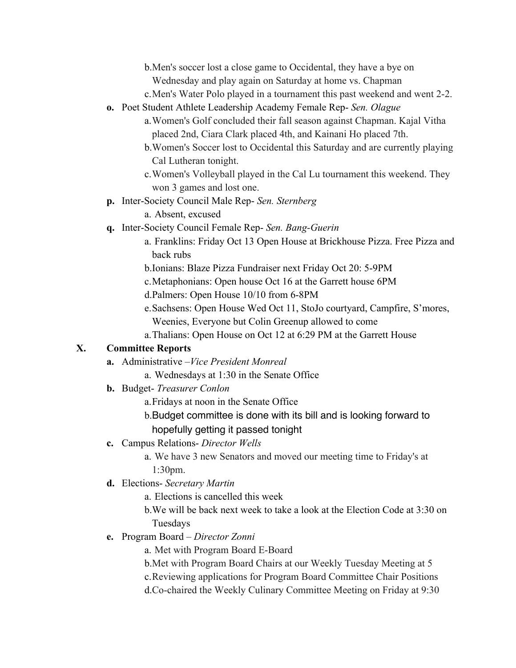b.Men's soccer lost a close game to Occidental, they have a bye on Wednesday and play again on Saturday at home vs. Chapman

- c.Men's Water Polo played in a tournament this past weekend and went 2-2.
- **o.** Poet Student Athlete Leadership Academy Female Rep- *Sen. Olague*
	- a.Women's Golf concluded their fall season against Chapman. Kajal Vitha placed 2nd, Ciara Clark placed 4th, and Kainani Ho placed 7th.
	- b.Women's Soccer lost to Occidental this Saturday and are currently playing Cal Lutheran tonight.
	- c.Women's Volleyball played in the Cal Lu tournament this weekend. They won 3 games and lost one.
- **p.** Inter-Society Council Male Rep- *Sen. Sternberg*
	- a. Absent, excused
- **q.** Inter-Society Council Female Rep- *Sen. Bang-Guerin*
	- a. Franklins: Friday Oct 13 Open House at Brickhouse Pizza. Free Pizza and back rubs
	- b.Ionians: Blaze Pizza Fundraiser next Friday Oct 20: 5-9PM
	- c.Metaphonians: Open house Oct 16 at the Garrett house 6PM
	- d.Palmers: Open House 10/10 from 6-8PM
	- e.Sachsens: Open House Wed Oct 11, StoJo courtyard, Campfire, S'mores, Weenies, Everyone but Colin Greenup allowed to come
	- a.Thalians: Open House on Oct 12 at 6:29 PM at the Garrett House

### **X. Committee Reports**

- **a.** Administrative –*Vice President Monreal*
	- a. Wednesdays at 1:30 in the Senate Office
- **b.** Budget- *Treasurer Conlon*
	- a.Fridays at noon in the Senate Office
	- b.Budget committee is done with its bill and is looking forward to hopefully getting it passed tonight
- **c.** Campus Relations- *Director Wells*

a. We have 3 new Senators and moved our meeting time to Friday's at 1:30pm.

**d.** Elections- *Secretary Martin*

a. Elections is cancelled this week

b.We will be back next week to take a look at the Election Code at 3:30 on Tuesdays

**e.** Program Board – *Director Zonni*

a. Met with Program Board E-Board

b.Met with Program Board Chairs at our Weekly Tuesday Meeting at 5 c.Reviewing applications for Program Board Committee Chair Positions d.Co-chaired the Weekly Culinary Committee Meeting on Friday at 9:30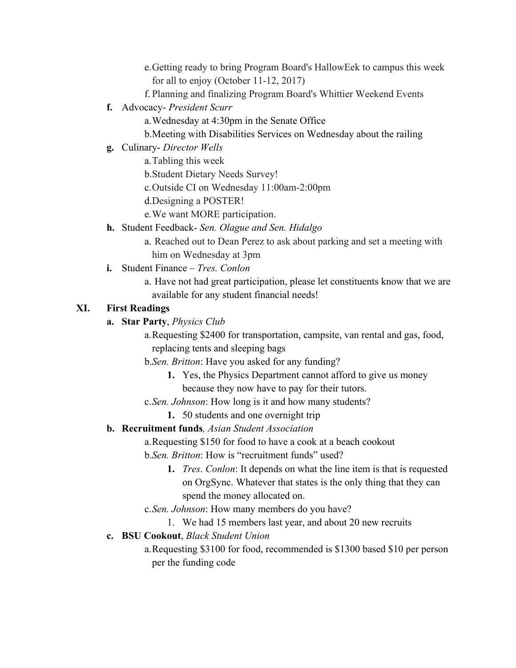e.Getting ready to bring Program Board's HallowEek to campus this week for all to enjoy (October 11-12, 2017)

- f. Planning and finalizing Program Board's Whittier Weekend Events
- **f.** Advocacy- *President Scurr*

a.Wednesday at 4:30pm in the Senate Office

b.Meeting with Disabilities Services on Wednesday about the railing

**g.** Culinary- *Director Wells*

a.Tabling this week

b.Student Dietary Needs Survey!

c.Outside CI on Wednesday 11:00am-2:00pm

d.Designing a POSTER!

e.We want MORE participation.

- **h.** Student Feedback- *Sen. Olague and Sen. Hidalgo*
	- a. Reached out to Dean Perez to ask about parking and set a meeting with him on Wednesday at 3pm
- **i.** Student Finance *Tres. Conlon*
	- a. Have not had great participation, please let constituents know that we are available for any student financial needs!

# **XI. First Readings**

### **a. Star Party**, *Physics Club*

a.Requesting \$2400 for transportation, campsite, van rental and gas, food, replacing tents and sleeping bags

b.*Sen. Britton*: Have you asked for any funding?

- **1.** Yes, the Physics Department cannot afford to give us money because they now have to pay for their tutors.
- c.*Sen. Johnson*: How long is it and how many students?

# **1.** 50 students and one overnight trip

# **b. Recruitment funds***, Asian Student Association*

a.Requesting \$150 for food to have a cook at a beach cookout

b.*Sen. Britton*: How is "recruitment funds" used?

**1.** *Tres*. *Conlon*: It depends on what the line item is that is requested on OrgSync. Whatever that states is the only thing that they can spend the money allocated on.

c.*Sen. Johnson*: How many members do you have?

1. We had 15 members last year, and about 20 new recruits

# **c. BSU Cookout**, *Black Student Union*

a.Requesting \$3100 for food, recommended is \$1300 based \$10 per person per the funding code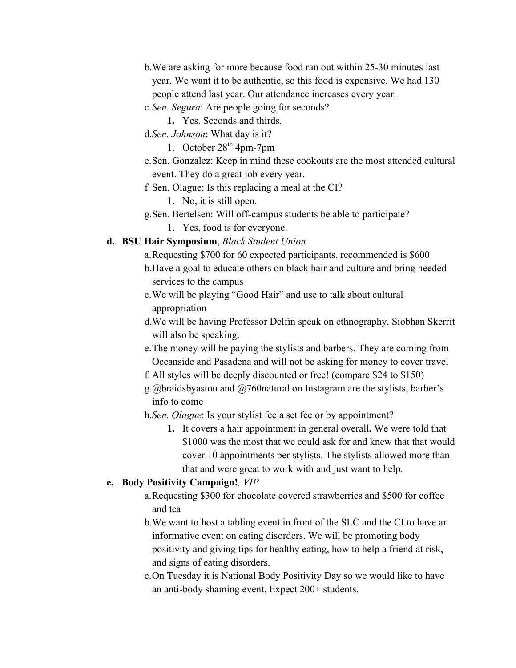- b.We are asking for more because food ran out within 25-30 minutes last year. We want it to be authentic, so this food is expensive. We had 130 people attend last year. Our attendance increases every year.
- c.*Sen. Segura*: Are people going for seconds?
	- **1.** Yes. Seconds and thirds.
- d.*Sen. Johnson*: What day is it?
	- 1. October  $28<sup>th</sup>$  4pm-7pm
- e.Sen. Gonzalez: Keep in mind these cookouts are the most attended cultural event. They do a great job every year.
- f. Sen. Olague: Is this replacing a meal at the CI?
	- 1. No, it is still open.
- g.Sen. Bertelsen: Will off-campus students be able to participate?
	- 1. Yes, food is for everyone.

#### **d. BSU Hair Symposium**, *Black Student Union*

- a.Requesting \$700 for 60 expected participants, recommended is \$600 b.Have a goal to educate others on black hair and culture and bring needed services to the campus
- c.We will be playing "Good Hair" and use to talk about cultural appropriation
- d.We will be having Professor Delfin speak on ethnography. Siobhan Skerrit will also be speaking.
- e.The money will be paying the stylists and barbers. They are coming from Oceanside and Pasadena and will not be asking for money to cover travel
- f. All styles will be deeply discounted or free! (compare \$24 to \$150)
- g.@braidsbyastou and @760natural on Instagram are the stylists, barber's info to come
- h.*Sen. Olague*: Is your stylist fee a set fee or by appointment?
	- **1.** It covers a hair appointment in general overall**.** We were told that \$1000 was the most that we could ask for and knew that that would cover 10 appointments per stylists. The stylists allowed more than that and were great to work with and just want to help.

### **e. Body Positivity Campaign!***, VIP*

- a.Requesting \$300 for chocolate covered strawberries and \$500 for coffee and tea
- b.We want to host a tabling event in front of the SLC and the CI to have an informative event on eating disorders. We will be promoting body positivity and giving tips for healthy eating, how to help a friend at risk, and signs of eating disorders.
- c.On Tuesday it is National Body Positivity Day so we would like to have an anti-body shaming event. Expect 200+ students.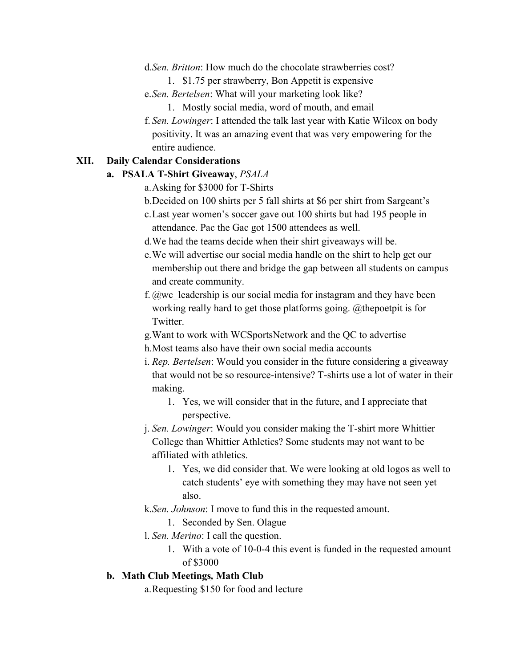- d.*Sen. Britton*: How much do the chocolate strawberries cost?
	- 1. \$1.75 per strawberry, Bon Appetit is expensive
- e.*Sen. Bertelsen*: What will your marketing look like?
	- 1. Mostly social media, word of mouth, and email
- f. *Sen. Lowinger*: I attended the talk last year with Katie Wilcox on body positivity. It was an amazing event that was very empowering for the entire audience.

#### **XII. Daily Calendar Considerations**

#### **a. PSALA T-Shirt Giveaway**, *PSALA*

- a.Asking for \$3000 for T-Shirts
- b.Decided on 100 shirts per 5 fall shirts at \$6 per shirt from Sargeant's c.Last year women's soccer gave out 100 shirts but had 195 people in
- attendance. Pac the Gac got 1500 attendees as well.
- d.We had the teams decide when their shirt giveaways will be.
- e.We will advertise our social media handle on the shirt to help get our membership out there and bridge the gap between all students on campus and create community.
- f.  $@$ wc leadership is our social media for instagram and they have been working really hard to get those platforms going. @thepoetpit is for Twitter.
- g.Want to work with WCSportsNetwork and the QC to advertise
- h.Most teams also have their own social media accounts
- i. *Rep. Bertelsen*: Would you consider in the future considering a giveaway that would not be so resource-intensive? T-shirts use a lot of water in their making.
	- 1. Yes, we will consider that in the future, and I appreciate that perspective.
- j. *Sen. Lowinger*: Would you consider making the T-shirt more Whittier College than Whittier Athletics? Some students may not want to be affiliated with athletics.
	- 1. Yes, we did consider that. We were looking at old logos as well to catch students' eye with something they may have not seen yet also.
- k.*Sen. Johnson*: I move to fund this in the requested amount.
	- 1. Seconded by Sen. Olague
- l. *Sen. Merino*: I call the question.
	- 1. With a vote of 10-0-4 this event is funded in the requested amount of \$3000

#### **b. Math Club Meetings***,* **Math Club**

a.Requesting \$150 for food and lecture